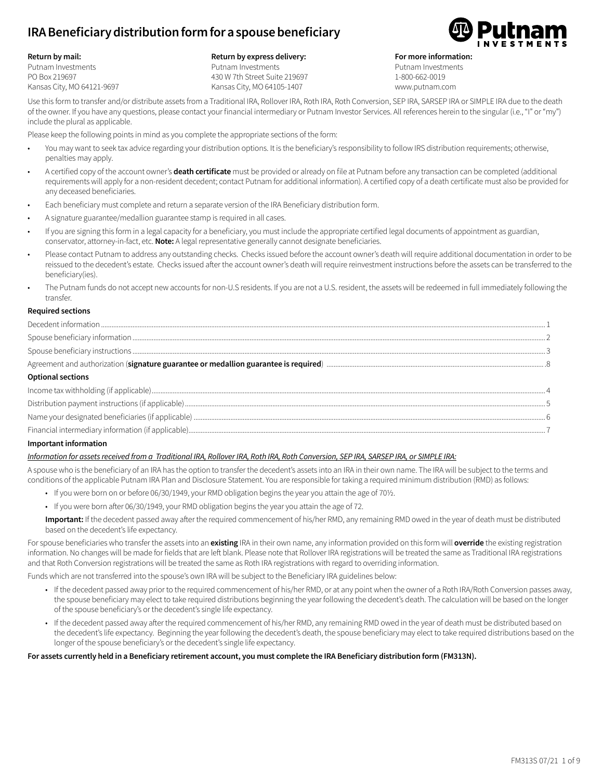# **IRA Beneficiary distribution form for a spouse beneficiary**

#### **Return by mail:**

Putnam Investments PO Box 219697 Kansas City, MO 64121-9697

### **Return by express delivery:**

Putnam Investments 430 W 7th Street Suite 219697 Kansas City, MO 64105-1407



**For more information:**

Putnam Investments 1-800-662-0019 www.putnam.com

Use this form to transfer and/or distribute assets from a Traditional IRA, Rollover IRA, Roth IRA, Roth Conversion, SEP IRA, SARSEP IRA or SIMPLE IRA due to the death of the owner. If you have any questions, please contact your financial intermediary or Putnam Investor Services. All references herein to the singular (i.e., "I" or "my") include the plural as applicable.

Please keep the following points in mind as you complete the appropriate sections of the form:

- You may want to seek tax advice regarding your distribution options. It is the beneficiary's responsibility to follow IRS distribution requirements; otherwise, penalties may apply.
- A certified copy of the account owner's **death certificate** must be provided or already on file at Putnam before any transaction can be completed (additional requirements will apply for a non-resident decedent; contact Putnam for additional information). A certified copy of a death certificate must also be provided for any deceased beneficiaries.
- Each beneficiary must complete and return a separate version of the IRA Beneficiary distribution form.
- A signature guarantee/medallion guarantee stamp is required in all cases.
- If you are signing this form in a legal capacity for a beneficiary, you must include the appropriate certified legal documents of appointment as guardian, conservator, attorney-in-fact, etc. **Note:** A legal representative generally cannot designate beneficiaries.
- Please contact Putnam to address any outstanding checks. Checks issued before the account owner's death will require additional documentation in order to be reissued to the decedent's estate. Checks issued after the account owner's death will require reinvestment instructions before the assets can be transferred to the beneficiary(ies).
- The Putnam funds do not accept new accounts for non-U.S residents. If you are not a U.S. resident, the assets will be redeemed in full immediately following the transfer.

### **Required sections**

| <b>Optional sections</b> |  |
|--------------------------|--|
|                          |  |
|                          |  |
|                          |  |
|                          |  |

### **Important information**

### *Information for assets received from a Traditional IRA, Rollover IRA, Roth IRA, Roth Conversion, SEP IRA, SARSEP IRA, or SIMPLE IRA:*

A spouse who is the beneficiary of an IRA has the option to transfer the decedent's assets into an IRA in their own name. The IRA will be subject to the terms and conditions of the applicable Putnam IRA Plan and Disclosure Statement. You are responsible for taking a required minimum distribution (RMD) as follows:

- If you were born on or before 06/30/1949, your RMD obligation begins the year you attain the age of 70½.
- If you were born after 06/30/1949, your RMD obligation begins the year you attain the age of 72.

**Important:** If the decedent passed away after the required commencement of his/her RMD, any remaining RMD owed in the year of death must be distributed based on the decedent's life expectancy.

For spouse beneficiaries who transfer the assets into an **existing** IRA in their own name, any information provided on this form will **override** the existing registration information. No changes will be made for fields that are left blank. Please note that Rollover IRA registrations will be treated the same as Traditional IRA registrations and that Roth Conversion registrations will be treated the same as Roth IRA registrations with regard to overriding information.

Funds which are not transferred into the spouse's own IRA will be subject to the Beneficiary IRA guidelines below:

- If the decedent passed away prior to the required commencement of his/her RMD, or at any point when the owner of a Roth IRA/Roth Conversion passes away, the spouse beneficiary may elect to take required distributions beginning the year following the decedent's death. The calculation will be based on the longer of the spouse beneficiary's or the decedent's single life expectancy.
- If the decedent passed away after the required commencement of his/her RMD, any remaining RMD owed in the year of death must be distributed based on the decedent's life expectancy. Beginning the year following the decedent's death, the spouse beneficiary may elect to take required distributions based on the longer of the spouse beneficiary's or the decedent's single life expectancy.

### **For assets currently held in a Beneficiary retirement account, you must complete the IRA Beneficiary distribution form (FM313N).**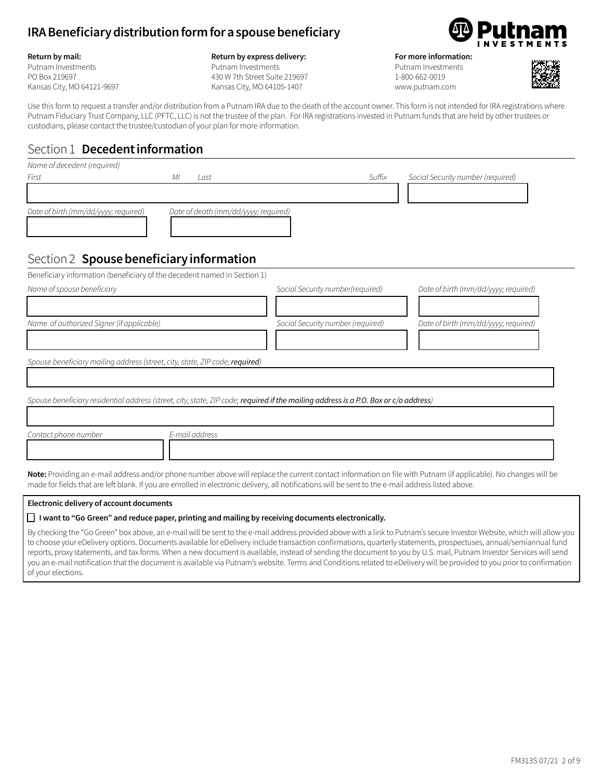### **IRA Beneficiary distribution form for a spouse beneficiary**

#### **Return by mail:**

Putnam Investments PO Box 219697 Kansas City, MO 64121-9697

### **Return by express delivery:**

Putnam Investments 430 W 7th Street Suite 219697 Kansas City, MO 64105-1407



### **For more information:**

Putnam Investments 1-800-662-0019 www.putnam.com



Use this form to request a transfer and/or distribution from a Putnam IRA due to the death of the account owner. This form is not intended for IRA registrations where Putnam Fiduciary Trust Company, LLC (PFTC, LLC) is not the trustee of the plan. For IRA registrations invested in Putnam funds that are held by other trustees or custodians, please contact the trustee/custodian of your plan for more information.

### Section 1 **Decedent information**

| Name of decedent (required)                                              |                                      |        |                                                                                                                                                                                                                                                                                                                                                                                                                  |
|--------------------------------------------------------------------------|--------------------------------------|--------|------------------------------------------------------------------------------------------------------------------------------------------------------------------------------------------------------------------------------------------------------------------------------------------------------------------------------------------------------------------------------------------------------------------|
| First                                                                    | МI<br>Last                           | Suffix | Social Security number (required)                                                                                                                                                                                                                                                                                                                                                                                |
|                                                                          |                                      |        |                                                                                                                                                                                                                                                                                                                                                                                                                  |
| Date of birth (mm/dd/yyyy; required)                                     | Date of death (mm/dd/yyyy; required) |        |                                                                                                                                                                                                                                                                                                                                                                                                                  |
| Section 2 Spouse beneficiary information                                 |                                      |        |                                                                                                                                                                                                                                                                                                                                                                                                                  |
| Beneficiary information (beneficiary of the decedent named in Section 1) |                                      |        |                                                                                                                                                                                                                                                                                                                                                                                                                  |
| $\cdots$ $\cdots$ $\cdots$                                               |                                      |        | $\alpha + i\alpha$ , $\alpha + i\beta$ , $\alpha + i\beta$ , $\alpha + i\beta$ , $\alpha + i\beta$ , $\alpha + i\beta$ , $\alpha + i\beta$ , $\alpha + i\beta$ , $\alpha + i\beta$ , $\alpha + i\beta$ , $\alpha + i\beta$ , $\alpha + i\beta$ , $\alpha + i\beta$ , $\alpha + i\beta$ , $\alpha + i\beta$ , $\alpha + i\beta$ , $\alpha + i\beta$ , $\alpha + i\beta$ , $\alpha + i\beta$ , $\alpha + i\beta$ , |

| Name of spouse beneficiary                                                   | Social Security number(required)                                                                                                                                       | Date of birth (mm/dd/yyyy; required) |  |  |
|------------------------------------------------------------------------------|------------------------------------------------------------------------------------------------------------------------------------------------------------------------|--------------------------------------|--|--|
| Name of authorized Signer (if applicable)                                    | Social Security number (required)                                                                                                                                      | Date of birth (mm/dd/yyyy; required) |  |  |
| Spouse beneficiary mailing address (street, city, state, ZIP code; required) |                                                                                                                                                                        |                                      |  |  |
|                                                                              | Spouse beneficiary residential address (street, city, state, ZIP code; required if the mailing address is a P.O. Box or c/o address)                                   |                                      |  |  |
| Contact phone number<br>E-mail address                                       |                                                                                                                                                                        |                                      |  |  |
|                                                                              | <b>Note:</b> Providing an e-mail address and/or phone number above will replace the current contact information on file with Putnam (if applicable). No changes will b |                                      |  |  |

**Note:** Providing an e-mail address and/or phone number above will replace the current contact information on file with Putnam (if applicable). No changes will be made for fields that are left blank. If you are enrolled in electronic delivery, all notifications will be sent to the e-mail address listed above.

### **Electronic delivery of account documents**

### **□ I want to "Go Green" and reduce paper, printing and mailing by receiving documents electronically.**

By checking the "Go Green" box above, an e-mail will be sent to the e-mail address provided above with a link to Putnam's secure Investor Website, which will allow you to choose your eDelivery options. Documents available for eDelivery include transaction confirmations, quarterly statements, prospectuses, annual/semiannual fund reports, proxy statements, and tax forms. When a new document is available, instead of sending the document to you by U.S. mail, Putnam Investor Services will send you an e-mail notification that the document is available via Putnam's website. Terms and Conditions related to eDelivery will be provided to you prior to confirmation of your elections.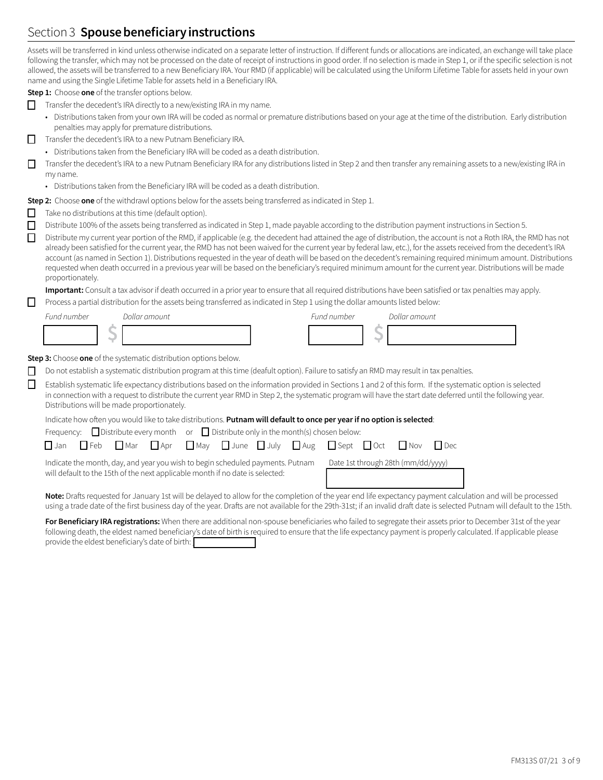# Section 3 **Spouse beneficiary instructions**

Assets will be transferred in kind unless otherwise indicated on a separate letter of instruction. If different funds or allocations are indicated, an exchange will take place following the transfer, which may not be processed on the date of receipt of instructions in good order. If no selection is made in Step 1, or if the specific selection is not allowed, the assets will be transferred to a new Beneficiary IRA. Your RMD (if applicable) will be calculated using the Uniform Lifetime Table for assets held in your own name and using the Single Lifetime Table for assets held in a Beneficiary IRA.

**Step 1:** Choose **one** of the transfer options below.

- $\Box$  Transfer the decedent's IRA directly to a new/existing IRA in my name.
	- Distributions taken from your own IRA will be coded as normal or premature distributions based on your age at the time of the distribution. Early distribution penalties may apply for premature distributions.
- $\Box$  Transfer the decedent's IRA to a new Putnam Beneficiary IRA.
	- Distributions taken from the Beneficiary IRA will be coded as a death distribution.
- o Transfer the decedent's IRA to a new Putnam Beneficiary IRA for any distributions listed in Step 2 and then transfer any remaining assets to a new/existing IRA in my name.
	- Distributions taken from the Beneficiary IRA will be coded as a death distribution.

**Step 2:** Choose **one** of the withdrawl options below for the assets being transferred as indicated in Step 1.

- $\Box$  Take no distributions at this time (default option).
- o Distribute 100% of the assets being transferred as indicated in Step 1, made payable according to the distribution payment instructions in Section 5.
- Distribute my current year portion of the RMD, if applicable (e.g. the decedent had attained the age of distribution, the account is not a Roth IRA, the RMD has not already been satisfied for the current year, the RMD has not been waived for the current year by federal law, etc.), for the assets received from the decedent's IRA account (as named in Section 1). Distributions requested in the year of death will be based on the decedent's remaining required minimum amount. Distributions requested when death occurred in a previous year will be based on the beneficiary's required minimum amount for the current year. Distributions will be made proportionately.

**Important:** Consult a tax advisor if death occurred in a prior year to ensure that all required distributions have been satisfied or tax penalties may apply.

 $\Box$  Process a partial distribution for the assets being transferred as indicated in Step 1 using the dollar amounts listed below:

| Fund number | Dollar amount | Fund number | Dollar amount |
|-------------|---------------|-------------|---------------|
|             |               |             |               |

**Step 3:** Choose **one** of the systematic distribution options below.

- $\Box$  Do not establish a systematic distribution program at this time (deafult option). Failure to satisfy an RMD may result in tax penalties.
- **Establish systematic life expectancy distributions based on the information provided in Sections 1 and 2 of this form. If the systematic option is selected** in connection with a request to distribute the current year RMD in Step 2, the systematic program will have the start date deferred until the following year. Distributions will be made proportionately.

### Indicate how often you would like to take distributions. **Putnam will default to once per year if no option is selected**:

|                                                                                                                                                                 |  |  |  | Frequency: $\Box$ Distribute every month or $\Box$ Distribute only in the month(s) chosen below:                                                                           |                                    |  |
|-----------------------------------------------------------------------------------------------------------------------------------------------------------------|--|--|--|----------------------------------------------------------------------------------------------------------------------------------------------------------------------------|------------------------------------|--|
|                                                                                                                                                                 |  |  |  | $\square$ Jan $\square$ Feb $\square$ Mar $\square$ Apr $\square$ May $\square$ June $\square$ July $\square$ Aug $\square$ Sept $\square$ Oct $\square$ Nov $\square$ Dec |                                    |  |
| Indicate the month, day, and year you wish to begin scheduled payments. Putnam<br>will default to the 15th of the next applicable month if no date is selected: |  |  |  |                                                                                                                                                                            | Date 1st through 28th (mm/dd/yyyy) |  |
|                                                                                                                                                                 |  |  |  | Note: Drafts requested for January Let will be delayed to allow for the completion of the vear and life expectancy payment calcula                                         |                                    |  |

**Note:** Drafts requested for January 1st will be delayed to allow for the completion of the year end life expectancy payment calculation and will be processed using a trade date of the first business day of the year. Drafts are not available for the 29th-31st; if an invalid draft date is selected Putnam will default to the 15th.

For Beneficiary IRA registrations: When there are additional non-spouse beneficiaries who failed to segregate their assets prior to December 31st of the year following death, the eldest named beneficiary's date of birth is required to ensure that the life expectancy payment is properly calculated. If applicable please provide the eldest beneficiary's date of birth: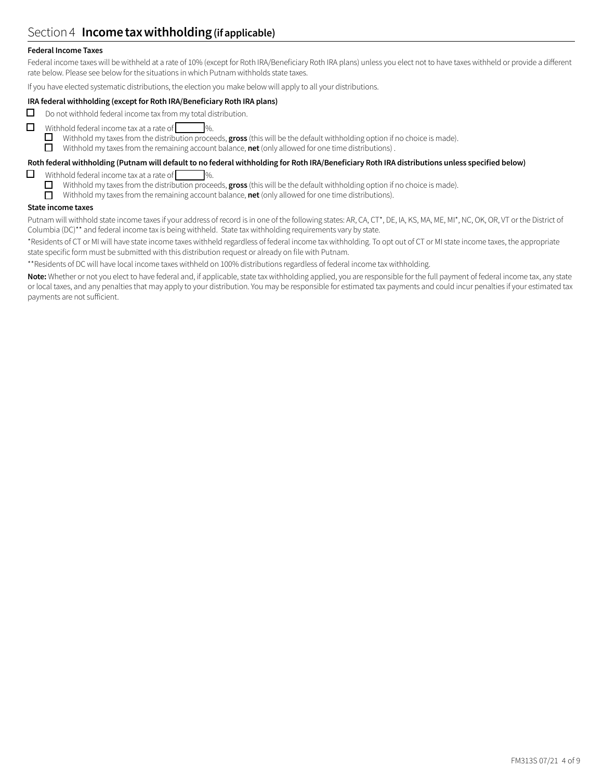### Section 4 **Income tax withholding (if applicable)**

### **Federal Income Taxes**

Federal income taxes will be withheld at a rate of 10% (except for Roth IRA/Beneficiary Roth IRA plans) unless you elect not to have taxes withheld or provide a different rate below. Please see below for the situations in which Putnam withholds state taxes.

If you have elected systematic distributions, the election you make below will apply to all your distributions.

### **IRA federal withholding (except for Roth IRA/Beneficiary Roth IRA plans)**

- $\Box$  Do not withhold federal income tax from my total distribution.
- $\Box$  Withhold federal income tax at a rate of  $\Box$  %.

 $\Box$  Withhold my taxes from the distribution proceeds, **gross** (this will be the default withholding option if no choice is made).

Withhold my taxes from the remaining account balance, **net** (only allowed for one time distributions).

### **Roth federal withholding (Putnam will default to no federal withholding for Roth IRA/Beneficiary Roth IRA distributions unless specified below)**

- Withhold federal income tax at a rate of  $\Box$  %.
	- □ Withhold my taxes from the distribution proceeds, **gross** (this will be the default withholding option if no choice is made).<br>□ Withhold my taxes from the remaining account balance, **net** (only allowed for one time dist
	- Withhold my taxes from the remaining account balance, **net** (only allowed for one time distributions).

### **State income taxes**

Putnam will withhold state income taxes if your address of record is in one of the following states: AR, CA, CT\*, DE, IA, KS, MA, ME, MI\*, NC, OK, OR, VT or the District of Columbia (DC)\*\* and federal income tax is being withheld. State tax withholding requirements vary by state.

\*Residents of CT or MI will have state income taxes withheld regardless of federal income tax withholding. To opt out of CT or MI state income taxes, the appropriate state specific form must be submitted with this distribution request or already on file with Putnam.

\*\*Residents of DC will have local income taxes withheld on 100% distributions regardless of federal income tax withholding.

Note: Whether or not you elect to have federal and, if applicable, state tax withholding applied, you are responsible for the full payment of federal income tax, any state or local taxes, and any penalties that may apply to your distribution. You may be responsible for estimated tax payments and could incur penalties if your estimated tax payments are not sufficient.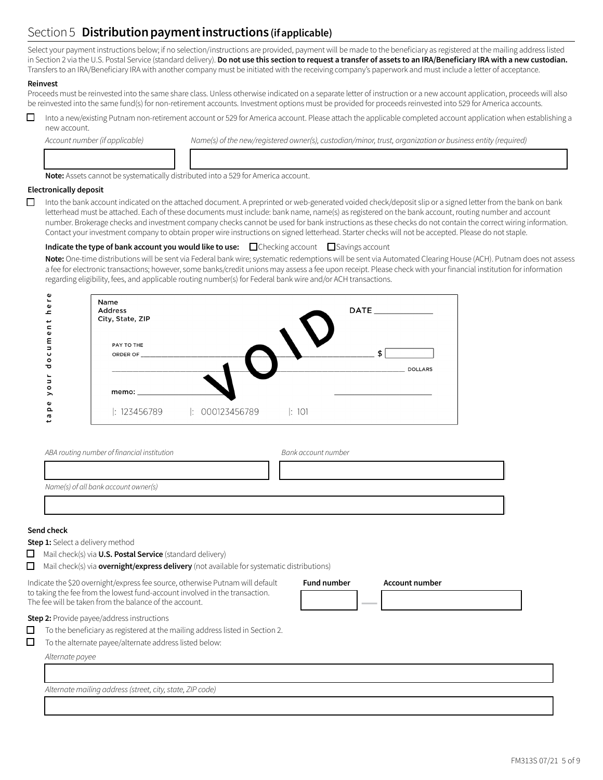# Section 5 **Distribution payment instructions (if applicable)**

Select your payment instructions below; if no selection/instructions are provided, payment will be made to the beneficiary as registered at the mailing address listed in Section 2 via the U.S. Postal Service (standard delivery). **Do not use this section to request a transfer of assets to an IRA/Beneficiary IRA with a new custodian.** Transfers to an IRA/Beneficiary IRA with another company must be initiated with the receiving company's paperwork and must include a letter of acceptance.

### **Reinvest**

Proceeds must be reinvested into the same share class. Unless otherwise indicated on a separate letter of instruction or a new account application, proceeds will also be reinvested into the same fund(s) for non-retirement accounts. Investment options must be provided for proceeds reinvested into 529 for America accounts.

□ Into a new/existing Putnam non-retirement account or 529 for America account. Please attach the applicable completed account application when establishing a new account.

12222222224 133333333333333333333333333334

Account number (if applicable) Name(s) of the new/registered owner(s), custodian/minor, trust, organization or business entity (required)

**Note:** Assets cannot be systematically distributed into a 529 for America account.

#### **Electronically deposit**

 $\Box$  Into the bank account indicated on the attached document. A preprinted or web-generated voided check/deposit slip or a signed letter from the bank on bank letterhead must be attached. Each of these documents must include: bank name, name(s) as registered on the bank account, routing number and account number. Brokerage checks and investment company checks cannot be used for bank instructions as these checks do not contain the correct wiring information. Contact your investment company to obtain proper wire instructions on signed letterhead. Starter checks will not be accepted. Please do not staple.

**Indicate the type of bank account you would like to use:**  $\Box$  Checking account  $\Box$  Savings account

**Note:** One-time distributions will be sent via Federal bank wire; systematic redemptions will be sent via Automated Clearing House (ACH). Putnam does not assess a fee for electronic transactions; however, some banks/credit unions may assess a fee upon receipt. Please check with your financial institution for information regarding eligibility, fees, and applicable routing number(s) for Federal bank wire and/or ACH transactions.

| Name<br>Address<br>City, State, ZIP |                |       | DATE <b>All DATE</b> |
|-------------------------------------|----------------|-------|----------------------|
| PAY TO THE<br>ORDER OF              |                |       | <b>DOLLARS</b>       |
|                                     |                |       |                      |
| : 123456789                         | : 000123456789 | : 101 |                      |

| ABA routing number of financial institution | Bank account number |
|---------------------------------------------|---------------------|
|                                             |                     |
| Name(s) of all bank account owner(s)        |                     |
|                                             |                     |

13333333333333333333333333333333333334

### **Send check**

**Step 1:** Select a delivery method

**O** Mail check(s) via **U.S. Postal Service** (standard delivery)

 $\Box$  Mail check(s) via **overnight/express delivery** (not available for systematic distributions)

Indicate the \$20 overnight/express fee source, otherwise Putnam will default to taking the fee from the lowest fund-account involved in the transaction. The fee will be taken from the balance of the account.

| <b>Fund number</b> | <b>Account number</b> |  |
|--------------------|-----------------------|--|
|                    |                       |  |
|                    |                       |  |

**Step 2:** Provide payee/address instructions

 $\Box$  To the beneficiary as registered at the mailing address listed in Section 2.

 $\Box$  To the alternate payee/alternate address listed below:

*Alternate payee*

13333333333333333333333333333333333334 *Alternate mailing address(street, city,state, ZIP code)*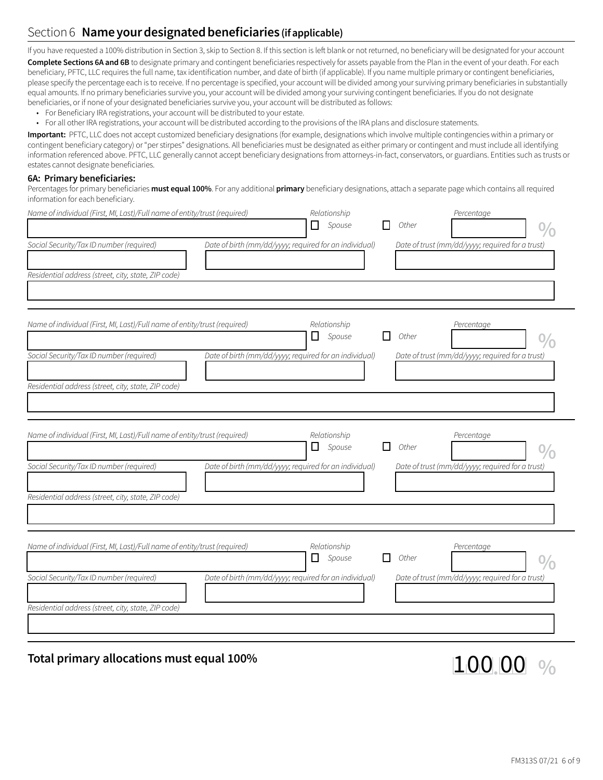# Section 6 **Name your designated beneficiaries (if applicable)**

If you have requested a 100% distribution in Section 3, skip to Section 8. If this section is left blank or not returned, no beneficiary will be designated for your account **Complete Sections 6A and 6B** to designate primary and contingent beneficiaries respectively for assets payable from the Plan in the event of your death. For each beneficiary, PFTC, LLC requires the full name, tax identification number, and date of birth (if applicable). If you name multiple primary or contingent beneficiaries, please specify the percentage each is to receive. If no percentage is specified, your account will be divided among your surviving primary beneficiaries in substantially equal amounts. If no primary beneficiaries survive you, your account will be divided among your surviving contingent beneficiaries. If you do not designate beneficiaries, or if none of your designated beneficiaries survive you, your account will be distributed as follows:

- For Beneficiary IRA registrations, your account will be distributed to your estate.
- For all other IRA registrations, your account will be distributed according to the provisions of the IRA plans and disclosure statements.

**Important:** PFTC, LLC does not accept customized beneficiary designations (for example, designations which involve multiple contingencies within a primary or contingent beneficiary category) or "per stirpes" designations. All beneficiaries must be designated as either primary or contingent and must include all identifying information referenced above. PFTC, LLC generally cannot accept beneficiary designations from attorneys-in-fact, conservators, or guardians. Entities such as trusts or estates cannot designate beneficiaries.

### **6A: Primary beneficiaries:**

Percentages for primary beneficiaries **must equal 100%**. For any additional **primary** beneficiary designations, attach a separate page which contains all required information for each beneficiary.

| Name of individual (First, MI, Last)/Full name of entity/trust (required) | Relationship<br>$\Box$ Spouse    |                                                                                                                                                                                                                                      | Other | Percentage |                                                                                                                                                                                                              |
|---------------------------------------------------------------------------|----------------------------------|--------------------------------------------------------------------------------------------------------------------------------------------------------------------------------------------------------------------------------------|-------|------------|--------------------------------------------------------------------------------------------------------------------------------------------------------------------------------------------------------------|
|                                                                           |                                  |                                                                                                                                                                                                                                      |       |            |                                                                                                                                                                                                              |
|                                                                           |                                  |                                                                                                                                                                                                                                      |       |            |                                                                                                                                                                                                              |
| Name of individual (First, MI, Last)/Full name of entity/trust (required) | Relationship<br>Spouse<br>l I    | ΙI                                                                                                                                                                                                                                   | Other | Percentage |                                                                                                                                                                                                              |
|                                                                           |                                  |                                                                                                                                                                                                                                      |       |            |                                                                                                                                                                                                              |
|                                                                           |                                  |                                                                                                                                                                                                                                      |       |            |                                                                                                                                                                                                              |
| Name of individual (First, MI, Last)/Full name of entity/trust (required) | Relationship<br>$\Box$ Spouse    |                                                                                                                                                                                                                                      | Other | Percentage |                                                                                                                                                                                                              |
|                                                                           |                                  |                                                                                                                                                                                                                                      |       |            |                                                                                                                                                                                                              |
|                                                                           |                                  |                                                                                                                                                                                                                                      |       |            |                                                                                                                                                                                                              |
| Name of individual (First, MI, Last)/Full name of entity/trust (required) | Relationship<br>Spouse<br>$\Box$ |                                                                                                                                                                                                                                      | Other | Percentage |                                                                                                                                                                                                              |
|                                                                           |                                  |                                                                                                                                                                                                                                      |       |            |                                                                                                                                                                                                              |
|                                                                           |                                  |                                                                                                                                                                                                                                      |       |            |                                                                                                                                                                                                              |
|                                                                           |                                  | Date of birth (mm/dd/yyyy; required for an individual)<br>Date of birth (mm/dd/yyyy; required for an individual)<br>Date of birth (mm/dd/yyyy; required for an individual)<br>Date of birth (mm/dd/yyyy; required for an individual) |       |            | Date of trust (mm/dd/yyyy; required for a trust)<br>Date of trust (mm/dd/yyyy; required for a trust)<br>Date of trust (mm/dd/yyyy; required for a trust)<br>Date of trust (mm/dd/yyyy; required for a trust) |

**Total primary allocations must equal 100%** 122 1 0 0 00 4**.**124 **%**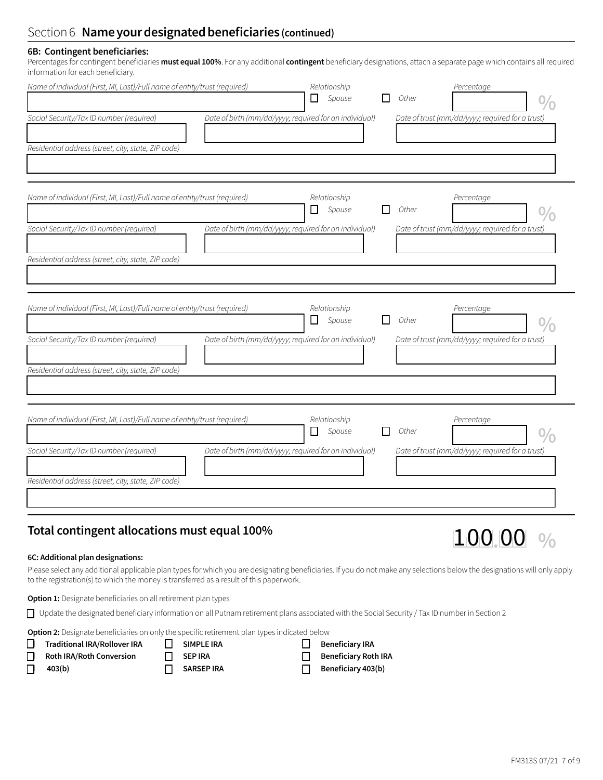### Section 6 **Name your designated beneficiaries (continued)**

### **6B: Contingent beneficiaries:**

Percentages for contingent beneficiaries **must equal 100%**. For any additional **contingent** beneficiary designations, attach a separate page which contains all required information for each beneficiary.

| Name of individual (First, MI, Last)/Full name of entity/trust (required)<br>Social Security/Tax ID number (required)                                                        | Relationship<br>$\Box$ Spouse<br>Date of birth (mm/dd/yyyy; required for an individual)    | Percentage<br>Other<br>Date of trust (mm/dd/yyyy; required for a trust)        |
|------------------------------------------------------------------------------------------------------------------------------------------------------------------------------|--------------------------------------------------------------------------------------------|--------------------------------------------------------------------------------|
| Residential address (street, city, state, ZIP code)                                                                                                                          |                                                                                            |                                                                                |
| Name of individual (First, MI, Last)/Full name of entity/trust (required)<br>Social Security/Tax ID number (required)<br>Residential address (street, city, state, ZIP code) | Relationship<br>$\Box$<br>Spouse<br>Date of birth (mm/dd/yyyy; required for an individual) | Percentage<br>П<br>Other<br>Date of trust (mm/dd/yyyy; required for a trust)   |
| Name of individual (First, MI, Last)/Full name of entity/trust (required)<br>Social Security/Tax ID number (required)<br>Residential address (street, city, state, ZIP code) | Relationship<br>⊔<br>Spouse<br>Date of birth (mm/dd/yyyy; required for an individual)      | Percentage<br>l I<br>Other<br>Date of trust (mm/dd/yyyy; required for a trust) |
| Name of individual (First, MI, Last)/Full name of entity/trust (required)<br>Social Security/Tax ID number (required)<br>Residential address (street, city, state, ZIP code) | Relationship<br>□<br>Spouse<br>Date of birth (mm/dd/yyyy; required for an individual)      | Percentage<br>Other<br>l 1<br>Date of trust (mm/dd/yyyy; required for a trust) |

# **Total contingent allocations must equal 100%** 122 1 0 0  $100$   $\frac{100}{100}$   $\frac{100}{100}$   $\frac{100}{100}$

### **6C: Additional plan designations:**

Please select any additional applicable plan types for which you are designating beneficiaries. If you do not make any selections below the designations will only apply to the registration(s) to which the money is transferred as a result of this paperwork.

**❒ Beneficiary Roth IRA**

**Option 1:** Designate beneficiaries on all retirement plan types

o Update the designated beneficiary information on all Putnam retirement plans associated with the Social Security / Tax ID number in Section 2

**Option 2:** Designate beneficiaries on only the specific retirement plan types indicated below

| Traditional IRA/Rollover IRA    | <b>II</b> SIMPLE IRA | $\Box$ Beneficiary IRA     |
|---------------------------------|----------------------|----------------------------|
| $\Box$ Roth IRA/Roth Conversion | $\Box$ SEP IRA       | $\Box$ Beneficiary Roth II |
| $\Box$ 403(b)                   | $\Box$ SARSEP IRA    | Beneficiary 403(b)         |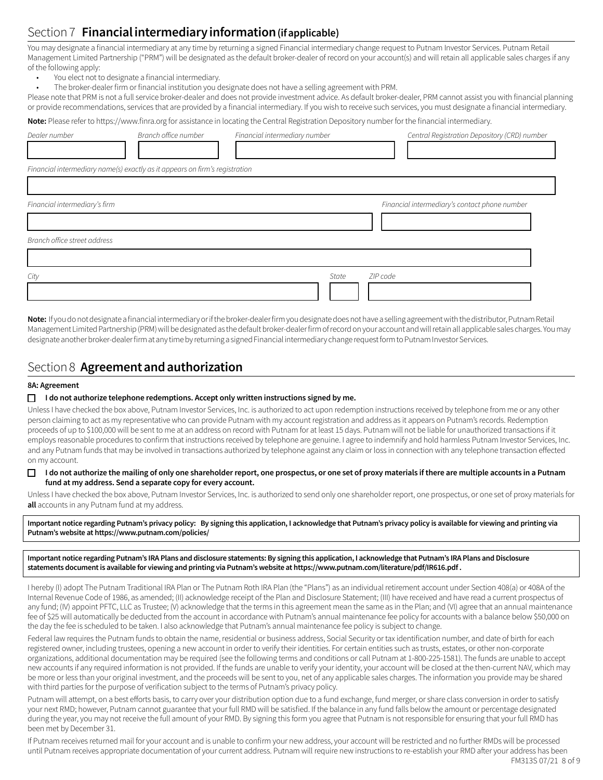# Section 7 **Financial intermediary information (if applicable)**

You may designate a financial intermediary at any time by returning a signed Financial intermediary change request to Putnam Investor Services. Putnam Retail Management Limited Partnership ("PRM") will be designated as the default broker-dealer of record on your account(s) and will retain all applicable sales charges if any of the following apply:

- You elect not to designate a financial intermediary.
- The broker-dealer firm or financial institution you designate does not have a selling agreement with PRM.

Please note that PRM is not a full service broker-dealer and does not provide investment advice. As default broker-dealer, PRM cannot assist you with financial planning or provide recommendations, services that are provided by a financial intermediary. If you wish to receive such services, you must designate a financial intermediary.

**Note:** Please refer to https://www.finra.org for assistance in locating the Central Registration Depository number for the financial intermediary.

| Dealer number                 | Branch office number                                                        | Financial intermediary number |          | Central Registration Depository (CRD) number  |
|-------------------------------|-----------------------------------------------------------------------------|-------------------------------|----------|-----------------------------------------------|
|                               | Financial intermediary name(s) exactly as it appears on firm's registration |                               |          |                                               |
| Financial intermediary's firm |                                                                             |                               |          | Financial intermediary's contact phone number |
| Branch office street address  |                                                                             |                               |          |                                               |
| City                          |                                                                             | State                         | ZIP code |                                               |

**Note:** If you do not designate a financial intermediary or if the broker-dealer firm you designate does not have a selling agreement with the distributor, Putnam Retail Management Limited Partnership (PRM) will be designated as the default broker-dealer firm of record on your account and will retain all applicable sales charges. You may designate another broker-dealer firm at any time by returning a signed Financial intermediary change request form to Putnam Investor Services.

### Section 8 **Agreement and authorization**

### **8A: Agreement**

### $\Box$  I do not authorize telephone redemptions. Accept only written instructions signed by me.

Unless I have checked the box above, Putnam Investor Services, Inc. is authorized to act upon redemption instructions received by telephone from me or any other person claiming to act as my representative who can provide Putnam with my account registration and address as it appears on Putnam's records. Redemption proceeds of up to \$100,000 will be sent to me at an address on record with Putnam for at least 15 days. Putnam will not be liable for unauthorized transactions if it employs reasonable procedures to confirm that instructions received by telephone are genuine. I agree to indemnify and hold harmless Putnam Investor Services, Inc. and any Putnam funds that may be involved in transactions authorized by telephone against any claim or loss in connection with any telephone transaction effected on my account.

### □ **I do not authorize the mailing of only one shareholder report, one prospectus, or one set of proxy materials if there are multiple accounts in a Putnam fund at my address. Send a separate copy for every account.**

Unless I have checked the box above, Putnam Investor Services, Inc. is authorized to send only one shareholder report, one prospectus, or one set of proxy materials for **all** accounts in any Putnam fund at my address.

**Important notice regarding Putnam's privacy policy: By signing this application, I acknowledge that Putnam's privacy policy is available for viewing and printing via Putnam's website at https://www.putnam.com/policies/**

**Important notice regarding Putnam's IRA Plans and disclosure statements: By signing this application, I acknowledge that Putnam's IRA Plans and Disclosure statements document is available for viewing and printing via Putnam's website at https://www.putnam.com/literature/pdf/IR616.pdf .**

I hereby (I) adopt The Putnam Traditional IRA Plan or The Putnam Roth IRA Plan (the "Plans") as an individual retirement account under Section 408(a) or 408A of the Internal Revenue Code of 1986, as amended; (II) acknowledge receipt of the Plan and Disclosure Statement; (III) have received and have read a current prospectus of any fund; (IV) appoint PFTC, LLC as Trustee; (V) acknowledge that the terms in this agreement mean the same as in the Plan; and (VI) agree that an annual maintenance fee of \$25 will automatically be deducted from the account in accordance with Putnam's annual maintenance fee policy for accounts with a balance below \$50,000 on the day the fee is scheduled to be taken. I also acknowledge that Putnam's annual maintenance fee policy is subject to change.

Federal law requires the Putnam funds to obtain the name, residential or business address, Social Security or tax identification number, and date of birth for each registered owner, including trustees, opening a new account in order to verify their identities. For certain entities such as trusts, estates, or other non-corporate organizations, additional documentation may be required (see the following terms and conditions or call Putnam at 1-800-225-1581). The funds are unable to accept new accounts if any required information is not provided. If the funds are unable to verify your identity, your account will be closed at the then-current NAV, which may be more or less than your original investment, and the proceeds will be sent to you, net of any applicable sales charges. The information you provide may be shared with third parties for the purpose of verification subject to the terms of Putnam's privacy policy.

Putnam will attempt, on a best efforts basis, to carry over your distribution option due to a fund exchange, fund merger, or share class conversion in order to satisfy your next RMD; however, Putnam cannot guarantee that your full RMD will be satisfied. If the balance in any fund falls below the amount or percentage designated during the year, you may not receive the full amount of your RMD. By signing this form you agree that Putnam is not responsible for ensuring that your full RMD has been met by December 31.

If Putnam receives returned mail for your account and is unable to confirm your new address, your account will be restricted and no further RMDs will be processed until Putnam receives appropriate documentation of your current address. Putnam will require new instructions to re-establish your RMD after your address has been